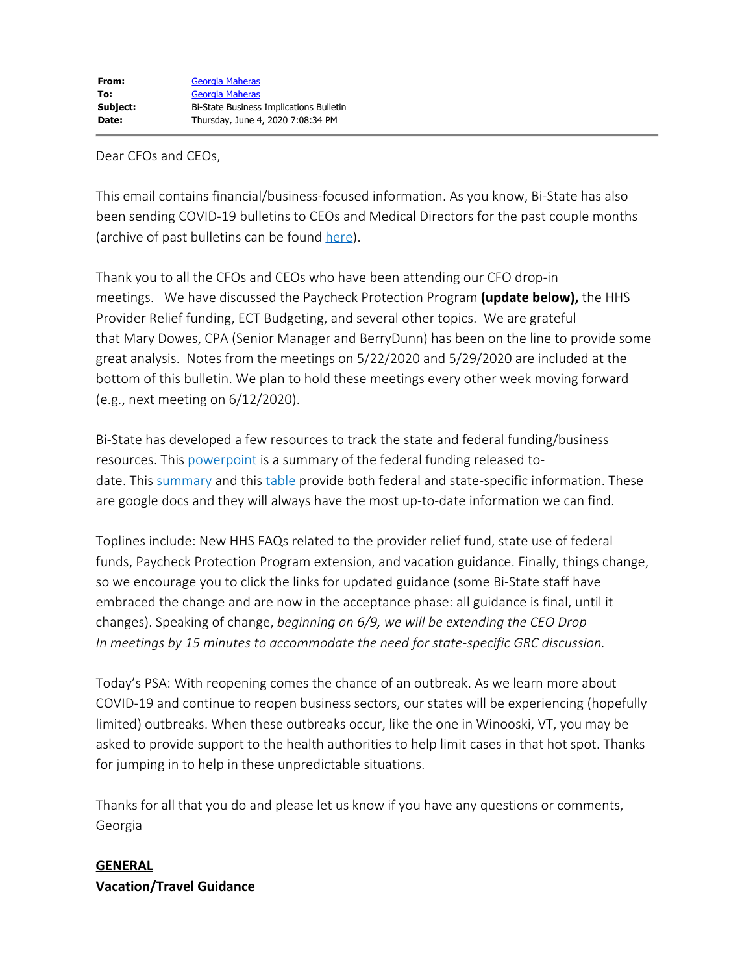#### Dear CFOs and CEOs,

This email contains financial/business-focused information. As you know, Bi-State has also been sending COVID-19 bulletins to CEOs and Medical Directors for the past couple months (archive of past bulletins can be found [here](https://bistatepca.org/health-center-resources/covid-bulletins-resources/bi-state-covid-19-bulletins)).

Thank you to all the CFOs and CEOs who have been attending our CFO drop-in meetings. We have discussed the Paycheck Protection Program **(update below),** the HHS Provider Relief funding, ECT Budgeting, and several other topics. We are grateful that Mary Dowes, CPA (Senior Manager and BerryDunn) has been on the line to provide some great analysis. Notes from the meetings on 5/22/2020 and 5/29/2020 are included at the bottom of this bulletin. We plan to hold these meetings every other week moving forward (e.g., next meeting on 6/12/2020).

Bi-State has developed a few resources to track the state and federal funding/business resources. This [powerpoint](https://drive.google.com/open?id=12BZ2w0123Nl3GEu4WmoAys6Ks8SNHYNg) is a summary of the federal funding released todate. This [summary](https://drive.google.com/file/d/15mc3V8Dr1baKYgds9Q11_9Qi3XOw7tix/view) and this [table](https://drive.google.com/open?id=1wmsUmXu9Jjhh1_oc9_7SZqOicvRbexke) provide both federal and state-specific information. These are google docs and they will always have the most up-to-date information we can find.

Toplines include: New HHS FAQs related to the provider relief fund, state use of federal funds, Paycheck Protection Program extension, and vacation guidance. Finally, things change, so we encourage you to click the links for updated guidance (some Bi-State staff have embraced the change and are now in the acceptance phase: all guidance is final, until it changes). Speaking of change, *beginning on 6/9, we will be extending the CEO Drop In meetings by 15 minutes to accommodate the need for state-specific GRC discussion.*

Today's PSA: With reopening comes the chance of an outbreak. As we learn more about COVID-19 and continue to reopen business sectors, our states will be experiencing (hopefully limited) outbreaks. When these outbreaks occur, like the one in Winooski, VT, you may be asked to provide support to the health authorities to help limit cases in that hot spot. Thanks for jumping in to help in these unpredictable situations.

Thanks for all that you do and please let us know if you have any questions or comments, Georgia

# **GENERAL Vacation/Travel Guidance**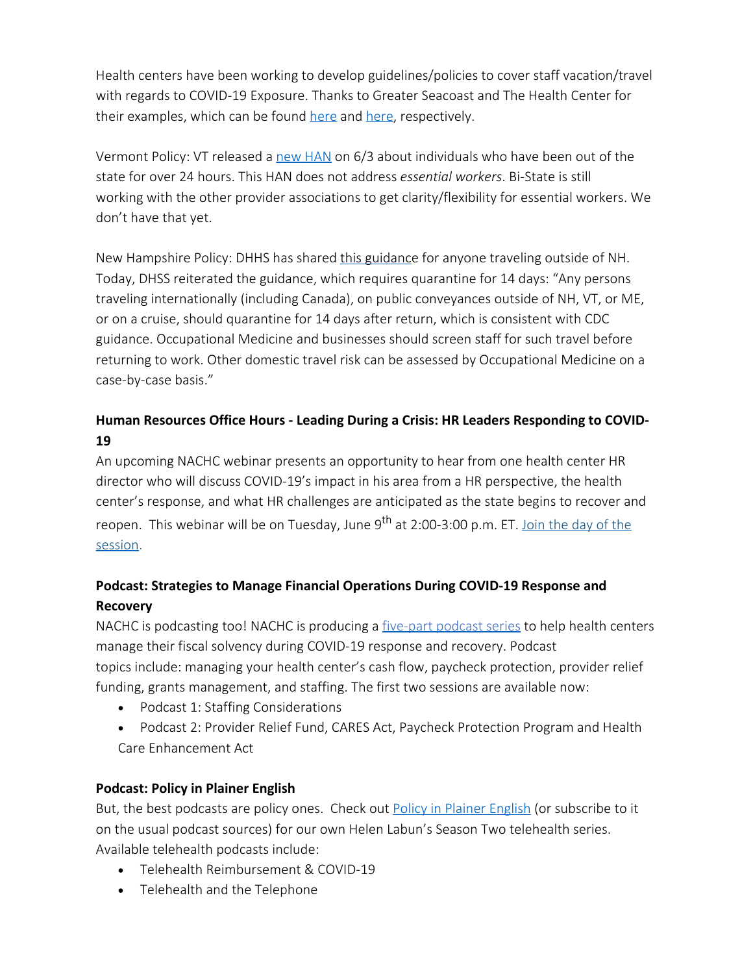Health centers have been working to develop guidelines/policies to cover staff vacation/travel with regards to COVID-19 Exposure. Thanks to Greater Seacoast and The Health Center for their examples, which can be found [here](https://drive.google.com/file/d/1JqVrYPkyKB1kN5Tk66p0xDlz_QqSh95g/view?usp=sharing) and here, respectively.

Vermont Policy: VT released a [new HAN](https://www.healthvermont.gov/sites/default/files/documents/pdf/COVID-19-HAN-UpdatedChangestoQuarantine.pdf) on 6/3 about individuals who have been out of the state for over 24 hours. This HAN does not address *essential workers*. Bi-State is still working with the other provider associations to get clarity/flexibility for essential workers. We don't have that yet.

New Hampshire Policy: DHHS has shared [this guidance](https://www.dhhs.nh.gov/dphs/cdcs/covid19/documents/employee-travel-guidance.pdf) for anyone traveling outside of NH. Today, DHSS reiterated the guidance, which requires quarantine for 14 days: "Any persons traveling internationally (including Canada), on public conveyances outside of NH, VT, or ME, or on a cruise, should quarantine for 14 days after return, which is consistent with CDC guidance. Occupational Medicine and businesses should screen staff for such travel before returning to work. Other domestic travel risk can be assessed by Occupational Medicine on a case-by-case basis."

# **Human Resources Office Hours - Leading During a Crisis: HR Leaders Responding to COVID-19**

An upcoming NACHC webinar presents an opportunity to hear from one health center HR director who will discuss COVID-19's impact in his area from a HR perspective, the health center's response, and what HR challenges are anticipated as the state begins to recover and reopen. This webinar will be on Tuesday, June 9<sup>th</sup> at 2:00-3:00 p.m. ET. [Join the day of the](https://lnks.gd/l/eyJhbGciOiJIUzI1NiJ9.eyJidWxsZXRpbl9saW5rX2lkIjoxMjgsInVyaSI6ImJwMjpjbGljayIsImJ1bGxldGluX2lkIjoiMjAyMDA2MDIuMjIzNDQwNzEiLCJ1cmwiOiJodHRwczovL25hY2hjLndlYmV4LmNvbS9tdzMzMDAvbXl3ZWJleC9kZWZhdWx0LmRvP25vbWVudT10cnVlJnNpdGV1cmw9bmFjaGMmc2VydmljZT02JnJuZD0wLjgxNzc0Mzc4MTE0OTE1NTUmbWFpbl91cmw9aHR0cHMlM0ElMkYlMkZuYWNoYy53ZWJleC5jb20lMkZlYzMzMDAlMkZldmVudGNlbnRlciUyRmV2ZW50JTJGZXZlbnRBY3Rpb24uZG8lM0Z0aGVBY3Rpb24lM0RkZXRhaWwlMjYlMjYlMjZFTUslM0Q0ODMyNTM0YjAwMDAwMDA0NTM4YzAwNGRhZjQxNzUzNGRlOGMyZmVjZTJlYzE4ZDZjNmQ2MmNkMDk5M2U4MTA5MjVhYzcwMzIyNTg0MzYyYiUyNnNpdGV1cmwlM0RuYWNoYyUyNmNvbmZWaWV3SUQlM0QxNjI0MjY3MTU4ODExMjU1NTIlMjZlbmNyeXB0VGlja2V0JTNEU0RKVFN3QUFBQVRkd2JzM25pclExYUpaRjFMM3RGYkRDTzYwUzBfNU5QcFZLcWxPSnNzV2Z3MiUyNiJ9.BJvfh1WOyVW-a5mkiSD0OORi766ofqdeFG2AZE5rD3k/br/79358503881-l) [session.](https://lnks.gd/l/eyJhbGciOiJIUzI1NiJ9.eyJidWxsZXRpbl9saW5rX2lkIjoxMjgsInVyaSI6ImJwMjpjbGljayIsImJ1bGxldGluX2lkIjoiMjAyMDA2MDIuMjIzNDQwNzEiLCJ1cmwiOiJodHRwczovL25hY2hjLndlYmV4LmNvbS9tdzMzMDAvbXl3ZWJleC9kZWZhdWx0LmRvP25vbWVudT10cnVlJnNpdGV1cmw9bmFjaGMmc2VydmljZT02JnJuZD0wLjgxNzc0Mzc4MTE0OTE1NTUmbWFpbl91cmw9aHR0cHMlM0ElMkYlMkZuYWNoYy53ZWJleC5jb20lMkZlYzMzMDAlMkZldmVudGNlbnRlciUyRmV2ZW50JTJGZXZlbnRBY3Rpb24uZG8lM0Z0aGVBY3Rpb24lM0RkZXRhaWwlMjYlMjYlMjZFTUslM0Q0ODMyNTM0YjAwMDAwMDA0NTM4YzAwNGRhZjQxNzUzNGRlOGMyZmVjZTJlYzE4ZDZjNmQ2MmNkMDk5M2U4MTA5MjVhYzcwMzIyNTg0MzYyYiUyNnNpdGV1cmwlM0RuYWNoYyUyNmNvbmZWaWV3SUQlM0QxNjI0MjY3MTU4ODExMjU1NTIlMjZlbmNyeXB0VGlja2V0JTNEU0RKVFN3QUFBQVRkd2JzM25pclExYUpaRjFMM3RGYkRDTzYwUzBfNU5QcFZLcWxPSnNzV2Z3MiUyNiJ9.BJvfh1WOyVW-a5mkiSD0OORi766ofqdeFG2AZE5rD3k/br/79358503881-l)

# **Podcast: Strategies to Manage Financial Operations During COVID-19 Response and Recovery**

NACHC is podcasting too! NACHC is producing a [five-part podcast series](https://lnks.gd/l/eyJhbGciOiJIUzI1NiJ9.eyJidWxsZXRpbl9saW5rX2lkIjoxNDMsInVyaSI6ImJwMjpjbGljayIsImJ1bGxldGluX2lkIjoiMjAyMDA2MDIuMjIzNDQwNzEiLCJ1cmwiOiJodHRwczovL2NvbmZlcmVuY2VzLm5hY2hjLm9yZy9uYWNoYy9hcnRpY2xlcy8zMDI4L3ZpZXcifQ.d9fAu7RsdiOBzzukWNfahG2JIpI1e9n-RMpVKJo4s00/br/79358503881-l) to help health centers manage their fiscal solvency during COVID-19 response and recovery. Podcast topics include: managing your health center's cash flow, paycheck protection, provider relief funding, grants management, and staffing. The first two sessions are available now:

- Podcast 1: Staffing Considerations
- Podcast 2: Provider Relief Fund, CARES Act, Paycheck Protection Program and Health Care Enhancement Act

## **Podcast: Policy in Plainer English**

But, the best podcasts are policy ones. Check out **[Policy in Plainer English](http://www.plainerenglish.org/)** (or subscribe to it on the usual podcast sources) for our own Helen Labun's Season Two telehealth series. Available telehealth podcasts include:

- · Telehealth Reimbursement & COVID-19
- · Telehealth and the Telephone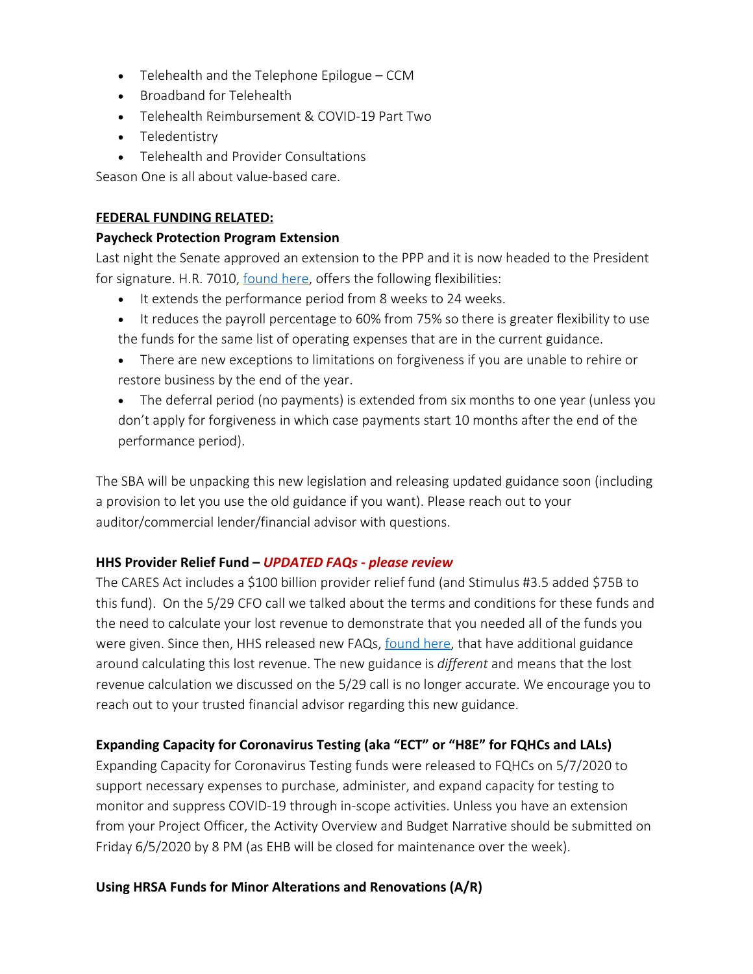- · Telehealth and the Telephone Epilogue CCM
- · Broadband for Telehealth
- · Telehealth Reimbursement & COVID-19 Part Two
- · Teledentistry
- · Telehealth and Provider Consultations

Season One is all about value-based care.

## **FEDERAL FUNDING RELATED:**

### **Paycheck Protection Program Extension**

Last night the Senate approved an extension to the PPP and it is now headed to the President for signature. H.R. 7010, [found here](https://www.congress.gov/bill/116th-congress/house-bill/7010/text), offers the following flexibilities:

- · It extends the performance period from 8 weeks to 24 weeks.
- It reduces the payroll percentage to 60% from 75% so there is greater flexibility to use the funds for the same list of operating expenses that are in the current guidance.
- There are new exceptions to limitations on forgiveness if you are unable to rehire or restore business by the end of the year.
- The deferral period (no payments) is extended from six months to one year (unless you don't apply for forgiveness in which case payments start 10 months after the end of the performance period).

The SBA will be unpacking this new legislation and releasing updated guidance soon (including a provision to let you use the old guidance if you want). Please reach out to your auditor/commercial lender/financial advisor with questions.

## **HHS Provider Relief Fund –** *UPDATED FAQs - please review*

The CARES Act includes a \$100 billion provider relief fund (and Stimulus #3.5 added \$75B to this fund). On the 5/29 CFO call we talked about the terms and conditions for these funds and the need to calculate your lost revenue to demonstrate that you needed all of the funds you were given. Since then, HHS released new FAQs, [found here](https://www.hhs.gov/sites/default/files/provider-relief-fund-general-distribution-faqs.pdf), that have additional guidance around calculating this lost revenue. The new guidance is *different* and means that the lost revenue calculation we discussed on the 5/29 call is no longer accurate. We encourage you to reach out to your trusted financial advisor regarding this new guidance.

# **Expanding Capacity for Coronavirus Testing (aka "ECT" or "H8E" for FQHCs and LALs)**

Expanding Capacity for Coronavirus Testing funds were released to FQHCs on 5/7/2020 to support necessary expenses to purchase, administer, and expand capacity for testing to monitor and suppress COVID-19 through in-scope activities. Unless you have an extension from your Project Officer, the Activity Overview and Budget Narrative should be submitted on Friday 6/5/2020 by 8 PM (as EHB will be closed for maintenance over the week).

## **Using HRSA Funds for Minor Alterations and Renovations (A/R)**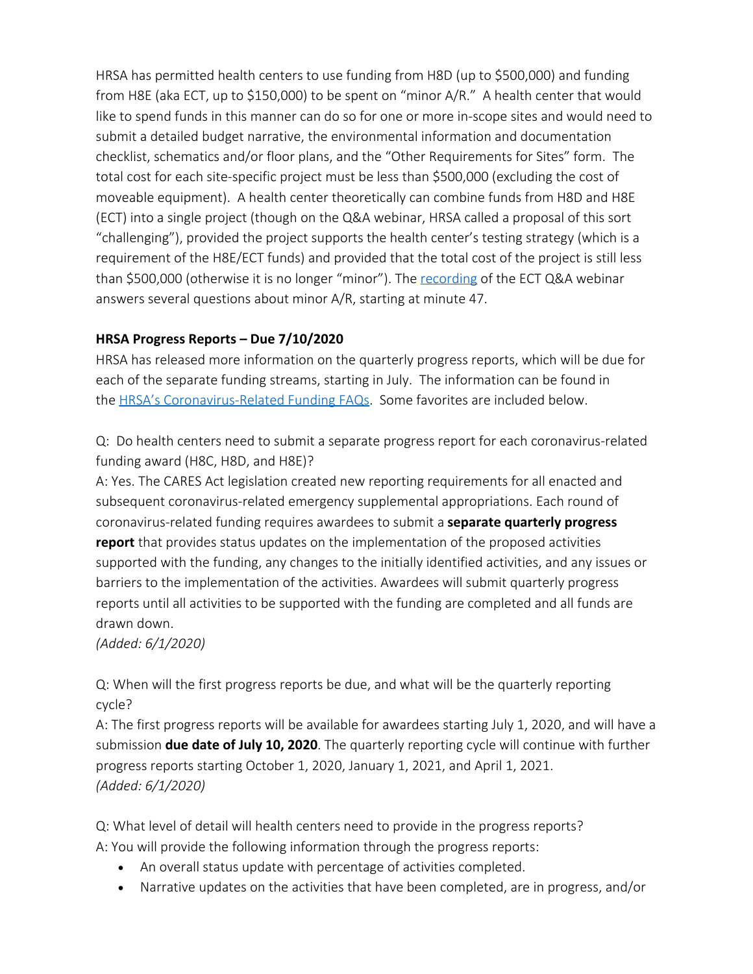HRSA has permitted health centers to use funding from H8D (up to \$500,000) and funding from H8E (aka ECT, up to \$150,000) to be spent on "minor A/R." A health center that would like to spend funds in this manner can do so for one or more in-scope sites and would need to submit a detailed budget narrative, the environmental information and documentation checklist, schematics and/or floor plans, and the "Other Requirements for Sites" form. The total cost for each site-specific project must be less than \$500,000 (excluding the cost of moveable equipment). A health center theoretically can combine funds from H8D and H8E (ECT) into a single project (though on the Q&A webinar, HRSA called a proposal of this sort "challenging"), provided the project supports the health center's testing strategy (which is a requirement of the H8E/ECT funds) and provided that the total cost of the project is still less than \$500,000 (otherwise it is no longer "minor"). The [recording](https://hrsaseminar.adobeconnect.com/pb7k9hwoq9wk/?proto=true) of the ECT Q&A webinar answers several questions about minor A/R, starting at minute 47.

## **HRSA Progress Reports – Due 7/10/2020**

HRSA has released more information on the quarterly progress reports, which will be due for each of the separate funding streams, starting in July. The information can be found in the HRSA's [Coronavirus-Related Funding FAQs](https://bphc.hrsa.gov/program-opportunities/coronavirus-disease-2019/faq). Some favorites are included below.

Q: Do health centers need to submit a separate progress report for each coronavirus-related funding award (H8C, H8D, and H8E)?

A: Yes. The CARES Act legislation created new reporting requirements for all enacted and subsequent coronavirus-related emergency supplemental appropriations. Each round of coronavirus-related funding requires awardees to submit a **separate quarterly progress report** that provides status updates on the implementation of the proposed activities supported with the funding, any changes to the initially identified activities, and any issues or barriers to the implementation of the activities. Awardees will submit quarterly progress reports until all activities to be supported with the funding are completed and all funds are drawn down.

*(Added: 6/1/2020)*

Q: When will the first progress reports be due, and what will be the quarterly reporting cycle?

A: The first progress reports will be available for awardees starting July 1, 2020, and will have a submission **due date of July 10, 2020**. The quarterly reporting cycle will continue with further progress reports starting October 1, 2020, January 1, 2021, and April 1, 2021. *(Added: 6/1/2020)*

Q: What level of detail will health centers need to provide in the progress reports? A: You will provide the following information through the progress reports:

- An overall status update with percentage of activities completed.
- Narrative updates on the activities that have been completed, are in progress, and/or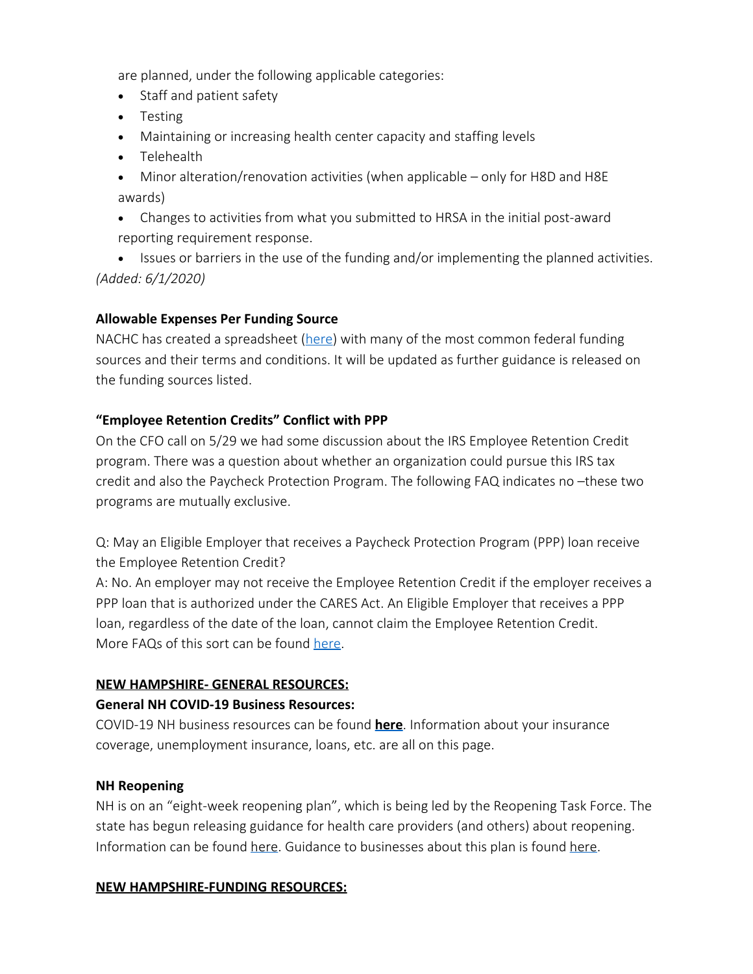are planned, under the following applicable categories:

- · Staff and patient safety
- · Testing
- Maintaining or increasing health center capacity and staffing levels
- · Telehealth
- Minor alteration/renovation activities (when applicable only for H8D and H8E awards)
- Changes to activities from what you submitted to HRSA in the initial post-award reporting requirement response.

• Issues or barriers in the use of the funding and/or implementing the planned activities. *(Added: 6/1/2020)*

## **Allowable Expenses Per Funding Source**

NACHC has created a spreadsheet [\(here](https://docs.google.com/spreadsheets/d/1DfM-aU42TMaByT5YPOo0DAVWgT6CyIAo67j4FWj9dho/edit#gid=1029484203)) with many of the most common federal funding sources and their terms and conditions. It will be updated as further guidance is released on the funding sources listed.

## **"Employee Retention Credits" Conflict with PPP**

On the CFO call on 5/29 we had some discussion about the IRS Employee Retention Credit program. There was a question about whether an organization could pursue this IRS tax credit and also the Paycheck Protection Program. The following FAQ indicates no –these two programs are mutually exclusive.

Q: May an Eligible Employer that receives a Paycheck Protection Program (PPP) loan receive the Employee Retention Credit?

A: No. An employer may not receive the Employee Retention Credit if the employer receives a PPP loan that is authorized under the CARES Act. An Eligible Employer that receives a PPP loan, regardless of the date of the loan, cannot claim the Employee Retention Credit. More FAQs of this sort can be found [here](https://www.irs.gov/newsroom/covid-19-related-employee-retention-credits-interaction-with-other-credit-and-relief-provisions-faqs).

## **NEW HAMPSHIRE- GENERAL RESOURCES:**

## **General NH COVID-19 Business Resources:**

COVID-19 NH business resources can be found **[here](https://www.nheconomy.com/covid19)**. Information about your insurance coverage, unemployment insurance, loans, etc. are all on this page.

## **NH Reopening**

NH is on an "eight-week reopening plan", which is being led by the Reopening Task Force. The state has begun releasing guidance for health care providers (and others) about reopening. Information can be found [here](https://www.nheconomy.com/reopeningtaskforce). Guidance to businesses about this plan is found [here](https://www.covidguidance.nh.gov/).

## **NEW HAMPSHIRE-FUNDING RESOURCES:**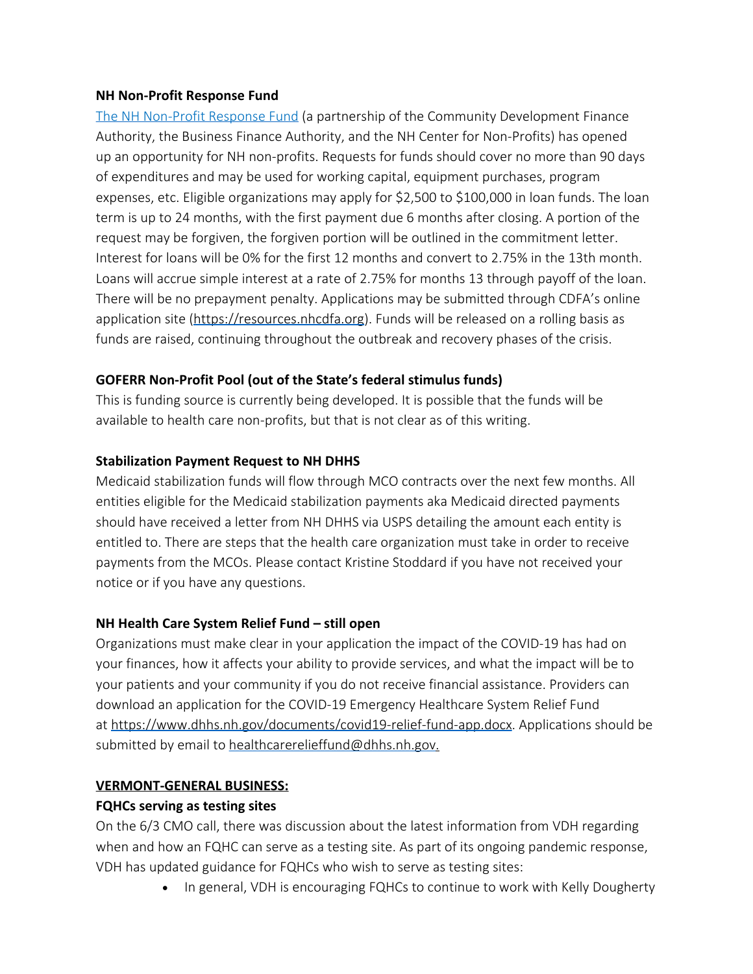#### **NH Non-Profit Response Fund**

[The NH Non-Profit Response Fund](https://resources.nhcdfa.org/programs/nh-nonprofit-response-fund/) (a partnership of the Community Development Finance Authority, the Business Finance Authority, and the NH Center for Non-Profits) has opened up an opportunity for NH non-profits. Requests for funds should cover no more than 90 days of expenditures and may be used for working capital, equipment purchases, program expenses, etc. Eligible organizations may apply for \$2,500 to \$100,000 in loan funds. The loan term is up to 24 months, with the first payment due 6 months after closing. A portion of the request may be forgiven, the forgiven portion will be outlined in the commitment letter. Interest for loans will be 0% for the first 12 months and convert to 2.75% in the 13th month. Loans will accrue simple interest at a rate of 2.75% for months 13 through payoff of the loan. There will be no prepayment penalty. Applications may be submitted through CDFA's online application site [\(https://resources.nhcdfa.org](https://resources.nhcdfa.org/)). Funds will be released on a rolling basis as funds are raised, continuing throughout the outbreak and recovery phases of the crisis.

#### **GOFERR Non-Profit Pool (out of the State's federal stimulus funds)**

This is funding source is currently being developed. It is possible that the funds will be available to health care non-profits, but that is not clear as of this writing.

#### **Stabilization Payment Request to NH DHHS**

Medicaid stabilization funds will flow through MCO contracts over the next few months. All entities eligible for the Medicaid stabilization payments aka Medicaid directed payments should have received a letter from NH DHHS via USPS detailing the amount each entity is entitled to. There are steps that the health care organization must take in order to receive payments from the MCOs. Please contact Kristine Stoddard if you have not received your notice or if you have any questions.

## **NH Health Care System Relief Fund – still open**

Organizations must make clear in your application the impact of the COVID-19 has had on your finances, how it affects your ability to provide services, and what the impact will be to your patients and your community if you do not receive financial assistance. Providers can download an application for the COVID-19 Emergency Healthcare System Relief Fund at <https://www.dhhs.nh.gov/documents/covid19-relief-fund-app.docx>. Applications should be submitted by email to [healthcarerelieffund@dhhs.nh.gov](mailto:healthcarerelieffund@dhhs.nh.gov).

## **VERMONT-GENERAL BUSINESS:**

## **FQHCs serving as testing sites**

On the 6/3 CMO call, there was discussion about the latest information from VDH regarding when and how an FQHC can serve as a testing site. As part of its ongoing pandemic response, VDH has updated guidance for FQHCs who wish to serve as testing sites:

• In general, VDH is encouraging FQHCs to continue to work with Kelly Dougherty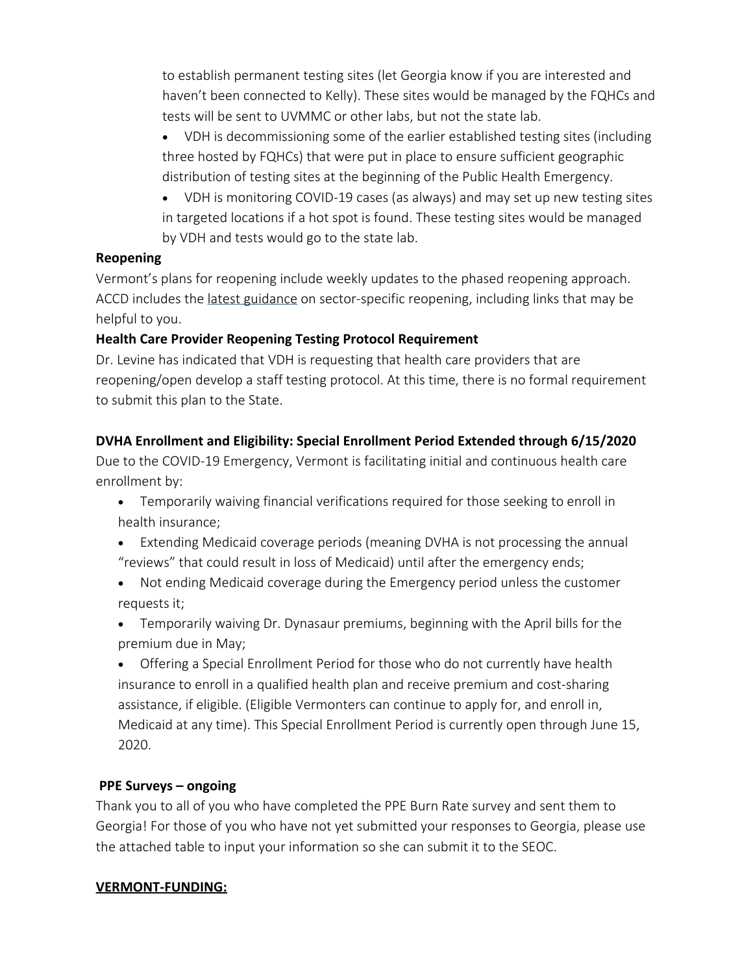to establish permanent testing sites (let Georgia know if you are interested and haven't been connected to Kelly). These sites would be managed by the FQHCs and tests will be sent to UVMMC or other labs, but not the state lab.

- VDH is decommissioning some of the earlier established testing sites (including three hosted by FQHCs) that were put in place to ensure sufficient geographic distribution of testing sites at the beginning of the Public Health Emergency.
- VDH is monitoring COVID-19 cases (as always) and may set up new testing sites in targeted locations if a hot spot is found. These testing sites would be managed by VDH and tests would go to the state lab.

#### **Reopening**

Vermont's plans for reopening include weekly updates to the phased reopening approach. ACCD includes the [latest guidance](https://accd.vermont.gov/covid-19) on sector-specific reopening, including links that may be helpful to you.

## **Health Care Provider Reopening Testing Protocol Requirement**

Dr. Levine has indicated that VDH is requesting that health care providers that are reopening/open develop a staff testing protocol. At this time, there is no formal requirement to submit this plan to the State.

## **DVHA Enrollment and Eligibility: Special Enrollment Period Extended through 6/15/2020**

Due to the COVID-19 Emergency, Vermont is facilitating initial and continuous health care enrollment by:

- Temporarily waiving financial verifications required for those seeking to enroll in health insurance;
- Extending Medicaid coverage periods (meaning DVHA is not processing the annual "reviews" that could result in loss of Medicaid) until after the emergency ends;
- Not ending Medicaid coverage during the Emergency period unless the customer requests it;
- Temporarily waiving Dr. Dynasaur premiums, beginning with the April bills for the premium due in May;
- Offering a Special Enrollment Period for those who do not currently have health insurance to enroll in a qualified health plan and receive premium and cost-sharing assistance, if eligible. (Eligible Vermonters can continue to apply for, and enroll in, Medicaid at any time). This Special Enrollment Period is currently open through June 15, 2020.

## **PPE Surveys – ongoing**

Thank you to all of you who have completed the PPE Burn Rate survey and sent them to Georgia! For those of you who have not yet submitted your responses to Georgia, please use the attached table to input your information so she can submit it to the SEOC.

## **VERMONT-FUNDING:**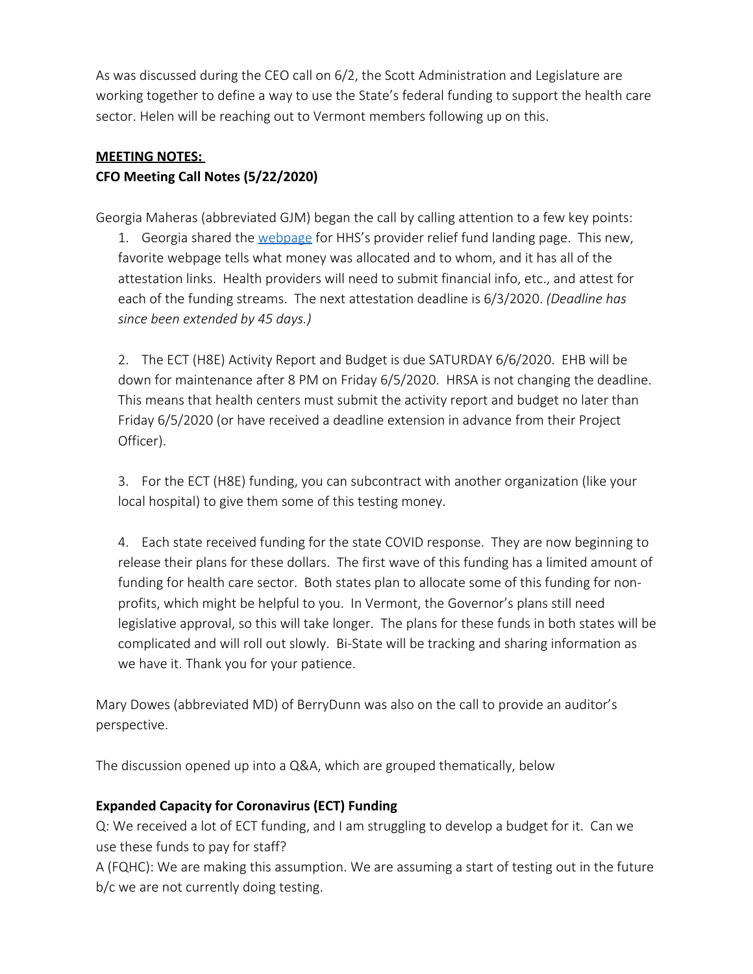As was discussed during the CEO call on 6/2, the Scott Administration and Legislature are working together to define a way to use the State's federal funding to support the health care sector. Helen will be reaching out to Vermont members following up on this.

# **MEETING NOTES: CFO Meeting Call Notes (5/22/2020)**

Georgia Maheras (abbreviated GJM) began the call by calling attention to a few key points:  

1. Georgia shared the [webpage](https://www.hhs.gov/coronavirus/cares-act-provider-relief-fund/index.html) for HHS's provider relief fund landing page. This new, favorite webpage tells what money was allocated and to whom, and it has all of the attestation links. Health providers will need to submit financial info, etc., and attest for each of the funding streams. The next attestation deadline is 6/3/2020. *(Deadline has since been extended by 45 days.)*

2. The ECT (H8E) Activity Report and Budget is due SATURDAY 6/6/2020. EHB will be down for maintenance after 8 PM on Friday 6/5/2020. HRSA is not changing the deadline. This means that health centers must submit the activity report and budget no later than Friday 6/5/2020 (or have received a deadline extension in advance from their Project Officer).

3. For the ECT (H8E) funding, you can subcontract with another organization (like your local hospital) to give them some of this testing money.

4. Each state received funding for the state COVID response. They are now beginning to release their plans for these dollars. The first wave of this funding has a limited amount of funding for health care sector. Both states plan to allocate some of this funding for nonprofits, which might be helpful to you. In Vermont, the Governor's plans still need legislative approval, so this will take longer. The plans for these funds in both states will be complicated and will roll out slowly. Bi-State will be tracking and sharing information as we have it. Thank you for your patience.

Mary Dowes (abbreviated MD) of BerryDunn was also on the call to provide an auditor's perspective.

The discussion opened up into a Q&A, which are grouped thematically, below

## **Expanded Capacity for Coronavirus (ECT) Funding**

Q: We received a lot of ECT funding, and I am struggling to develop a budget for it. Can we use these funds to pay for staff?

A (FQHC): We are making this assumption. We are assuming a start of testing out in the future b/c we are not currently doing testing.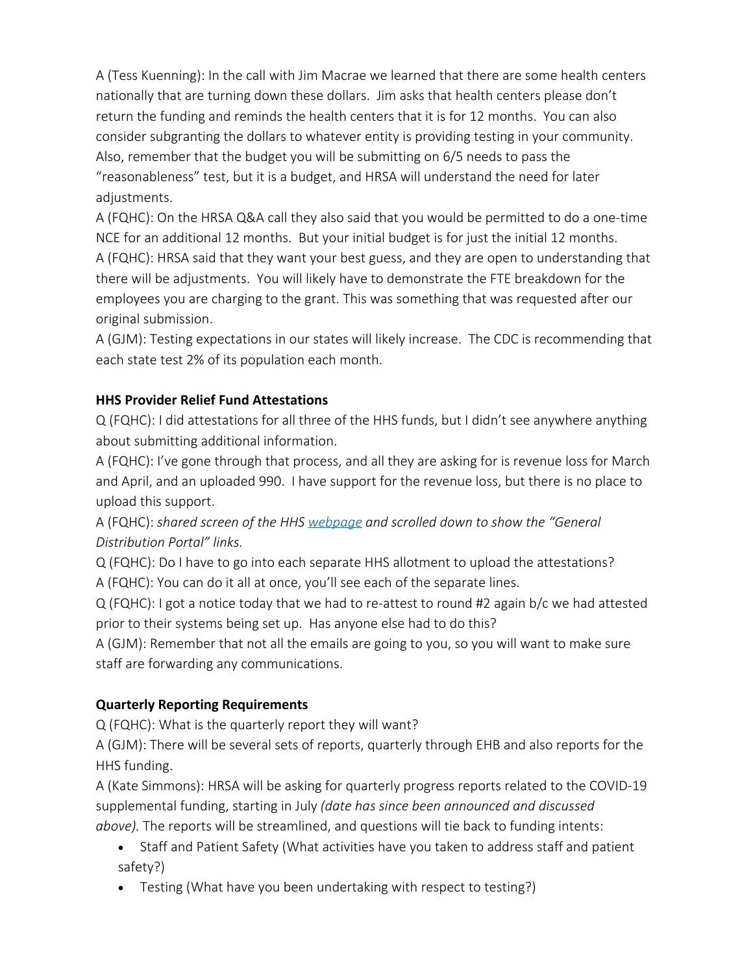A (Tess Kuenning): In the call with Jim Macrae we learned that there are some health centers nationally that are turning down these dollars. Jim asks that health centers please don't return the funding and reminds the health centers that it is for 12 months. You can also consider subgranting the dollars to whatever entity is providing testing in your community. Also, remember that the budget you will be submitting on 6/5 needs to pass the "reasonableness" test, but it is a budget, and HRSA will understand the need for later adjustments.

A (FQHC): On the HRSA Q&A call they also said that you would be permitted to do a one-time NCE for an additional 12 months. But your initial budget is for just the initial 12 months. A (FQHC): HRSA said that they want your best guess, and they are open to understanding that there will be adjustments. You will likely have to demonstrate the FTE breakdown for the employees you are charging to the grant. This was something that was requested after our original submission.

A (GJM): Testing expectations in our states will likely increase. The CDC is recommending that each state test 2% of its population each month.

## **HHS Provider Relief Fund Attestations**

Q (FQHC): I did attestations for all three of the HHS funds, but I didn't see anywhere anything about submitting additional information.

A (FQHC): I've gone through that process, and all they are asking for is revenue loss for March and April, and an uploaded 990. I have support for the revenue loss, but there is no place to upload this support.

A (FQHC): *shared screen of the HHS [webpage](https://www.hhs.gov/coronavirus/cares-act-provider-relief-fund/index.html) and scrolled down to show the "General Distribution Portal" links.*

Q (FQHC): Do I have to go into each separate HHS allotment to upload the attestations? A (FQHC): You can do it all at once, you'll see each of the separate lines.

Q (FQHC): I got a notice today that we had to re-attest to round #2 again b/c we had attested prior to their systems being set up. Has anyone else had to do this?

A (GJM): Remember that not all the emails are going to you, so you will want to make sure staff are forwarding any communications.

## **Quarterly Reporting Requirements**

Q (FQHC): What is the quarterly report they will want?

A (GJM): There will be several sets of reports, quarterly through EHB and also reports for the HHS funding.

A (Kate Simmons): HRSA will be asking for quarterly progress reports related to the COVID-19 supplemental funding, starting in July *(date has since been announced and discussed above).* The reports will be streamlined, and questions will tie back to funding intents:

- · Staff and Patient Safety (What activities have you taken to address staff and patient safety?)
- Testing (What have you been undertaking with respect to testing?)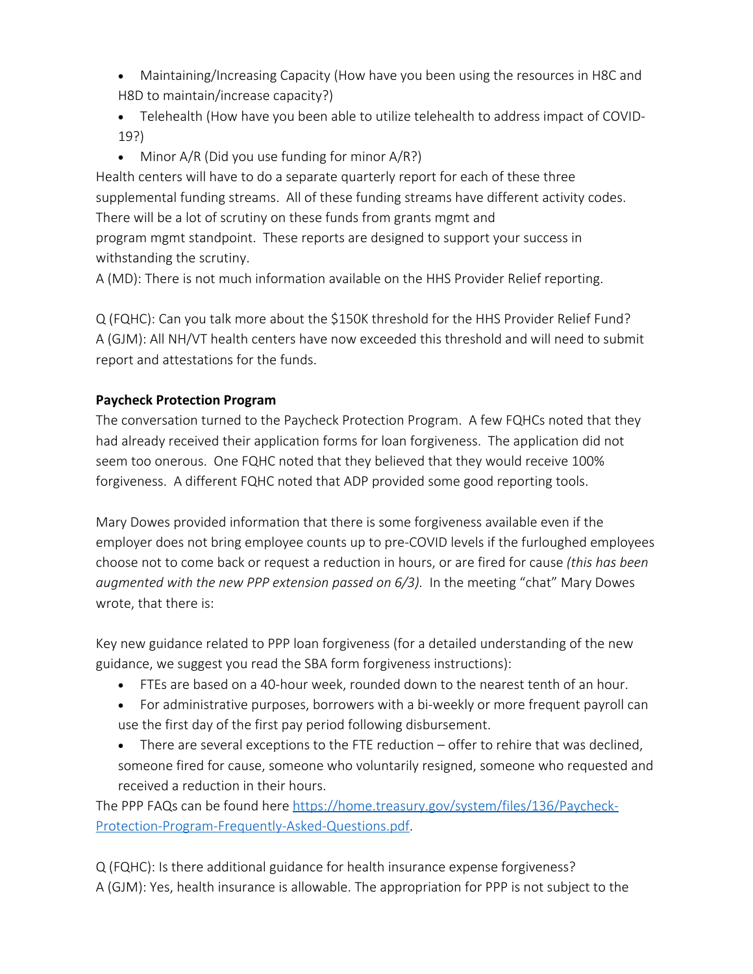- Maintaining/Increasing Capacity (How have you been using the resources in H8C and H8D to maintain/increase capacity?)
- · Telehealth (How have you been able to utilize telehealth to address impact of COVID-19?)
- Minor  $A/R$  (Did you use funding for minor  $A/R$ ?)

Health centers will have to do a separate quarterly report for each of these three supplemental funding streams. All of these funding streams have different activity codes. There will be a lot of scrutiny on these funds from grants mgmt and program mgmt standpoint. These reports are designed to support your success in withstanding the scrutiny.

A (MD): There is not much information available on the HHS Provider Relief reporting.

Q (FQHC): Can you talk more about the \$150K threshold for the HHS Provider Relief Fund? A (GJM): All NH/VT health centers have now exceeded this threshold and will need to submit report and attestations for the funds.

## **Paycheck Protection Program**

The conversation turned to the Paycheck Protection Program. A few FQHCs noted that they had already received their application forms for loan forgiveness. The application did not seem too onerous. One FQHC noted that they believed that they would receive 100% forgiveness. A different FQHC noted that ADP provided some good reporting tools.

Mary Dowes provided information that there is some forgiveness available even if the employer does not bring employee counts up to pre-COVID levels if the furloughed employees choose not to come back or request a reduction in hours, or are fired for cause *(this has been augmented with the new PPP extension passed on 6/3).* In the meeting "chat" Mary Dowes wrote, that there is:

Key new guidance related to PPP loan forgiveness (for a detailed understanding of the new guidance, we suggest you read the SBA form forgiveness instructions):

- · FTEs are based on a 40-hour week, rounded down to the nearest tenth of an hour.
- For administrative purposes, borrowers with a bi-weekly or more frequent payroll can use the first day of the first pay period following disbursement.
- There are several exceptions to the FTE reduction offer to rehire that was declined, someone fired for cause, someone who voluntarily resigned, someone who requested and received a reduction in their hours.

The PPP FAQs can be found here [https://home.treasury.gov/system/files/136/Paycheck-](https://home.treasury.gov/system/files/136/Paycheck-Protection-Program-Frequently-Asked-Questions.pdf)[Protection-Program-Frequently-Asked-Questions.pdf](https://home.treasury.gov/system/files/136/Paycheck-Protection-Program-Frequently-Asked-Questions.pdf).

Q (FQHC): Is there additional guidance for health insurance expense forgiveness? A (GJM): Yes, health insurance is allowable. The appropriation for PPP is not subject to the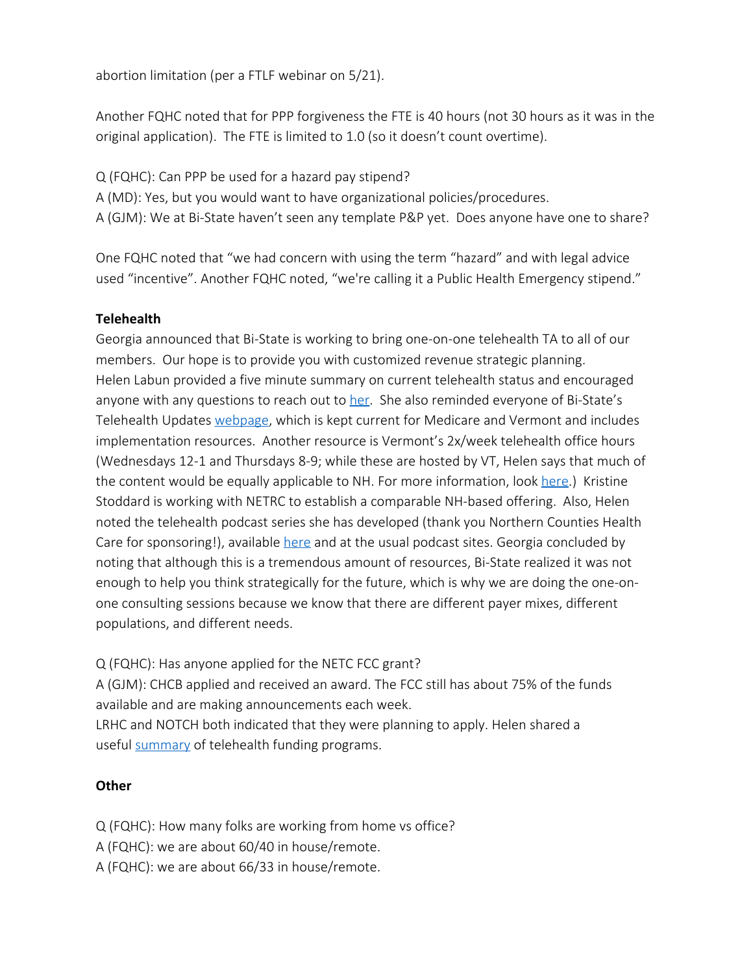abortion limitation (per a FTLF webinar on 5/21).

Another FQHC noted that for PPP forgiveness the FTE is 40 hours (not 30 hours as it was in the original application). The FTE is limited to 1.0 (so it doesn't count overtime).

Q (FQHC): Can PPP be used for a hazard pay stipend?

A (MD): Yes, but you would want to have organizational policies/procedures.

A (GJM): We at Bi-State haven't seen any template P&P yet. Does anyone have one to share?

One FQHC noted that "we had concern with using the term "hazard" and with legal advice used "incentive". Another FQHC noted, "we're calling it a Public Health Emergency stipend."

## **Telehealth**

Georgia announced that Bi-State is working to bring one-on-one telehealth TA to all of our members. Our hope is to provide you with customized revenue strategic planning. Helen Labun provided a five minute summary on current telehealth status and encouraged anyone with any questions to reach out to [her](mailto:hlabun@bistatepca.org). She also reminded everyone of Bi-State's Telehealth Updates [webpage](https://docs.google.com/document/d/15Y3RaKi13rOaT6rm_fbO3TSr7UIOnii-O9DHdLNn9j4/edit), which is kept current for Medicare and Vermont and includes implementation resources. Another resource is Vermont's 2x/week telehealth office hours (Wednesdays 12-1 and Thursdays 8-9; while these are hosted by VT, Helen says that much of the content would be equally applicable to NH. For more information, look [here](https://www.vpqhc.org/statewide-telehealth-events).) Kristine Stoddard is working with NETRC to establish a comparable NH-based offering. Also, Helen noted the telehealth podcast series she has developed (thank you Northern Counties Health Care for sponsoring!), available [here](http://www.plainerenglish.org/) and at the usual podcast sites. Georgia concluded by noting that although this is a tremendous amount of resources, Bi-State realized it was not enough to help you think strategically for the future, which is why we are doing the one-onone consulting sessions because we know that there are different payer mixes, different populations, and different needs.

Q (FQHC): Has anyone applied for the NETC FCC grant? A (GJM): CHCB applied and received an award. The FCC still has about 75% of the funds available and are making announcements each week. LRHC and NOTCH both indicated that they were planning to apply. Helen shared a useful [summary](https://legislature.vermont.gov/Documents/2020/WorkGroups/Senate%20Health%20and%20Welfare/COVID-19/W~Maria%20Royle~Summary%20of%20CARES%20Act%20Connectivity%20Funding%20Streams%20and%20Additional%20Programs~5-7-2020.pdf) of telehealth funding programs.

#### **Other**

Q (FQHC): How many folks are working from home vs office?

A (FQHC): we are about 60/40 in house/remote.

A (FQHC): we are about 66/33 in house/remote.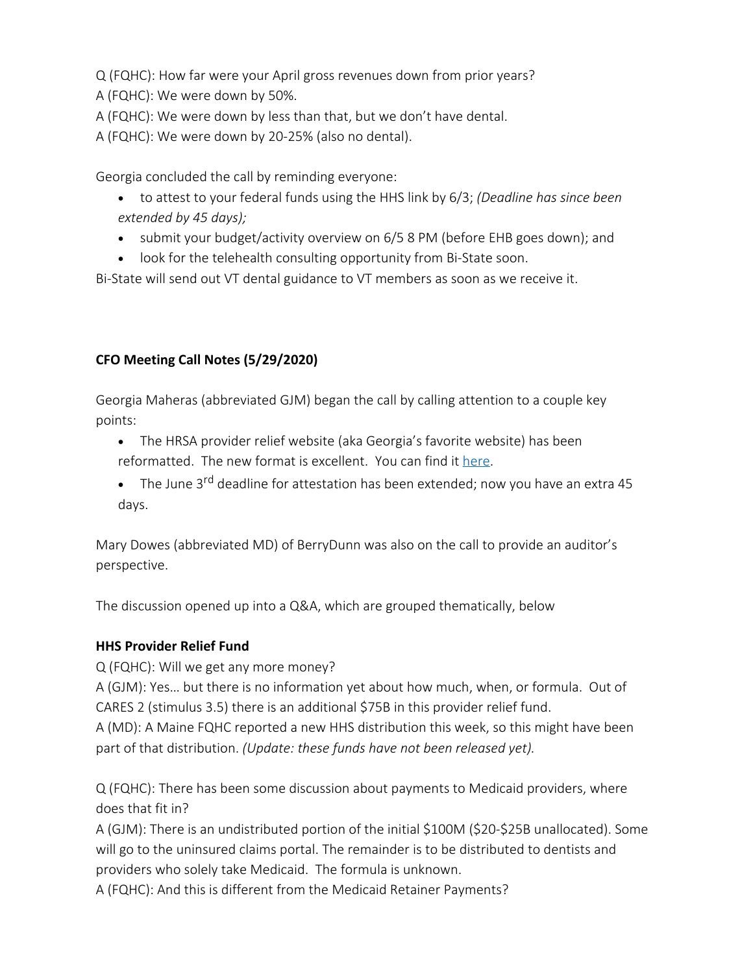Q (FQHC): How far were your April gross revenues down from prior years? A (FQHC): We were down by 50%.

A (FQHC): We were down by less than that, but we don't have dental.

A (FQHC): We were down by 20-25% (also no dental).

Georgia concluded the call by reminding everyone:

- · to attest to your federal funds using the HHS link by 6/3; *(Deadline has since been extended by 45 days);*
- submit your budget/activity overview on 6/5 8 PM (before EHB goes down); and
- look for the telehealth consulting opportunity from Bi-State soon.

Bi-State will send out VT dental guidance to VT members as soon as we receive it.

# **CFO Meeting Call Notes (5/29/2020)**

Georgia Maheras (abbreviated GJM) began the call by calling attention to a couple key points:  

- The HRSA provider relief website (aka Georgia's favorite website) has been reformatted. The new format is excellent. You can find it [here](https://www.hhs.gov/coronavirus/cares-act-provider-relief-fund/index.html).
- The June 3<sup>rd</sup> deadline for attestation has been extended; now you have an extra 45 days.

Mary Dowes (abbreviated MD) of BerryDunn was also on the call to provide an auditor's perspective.

The discussion opened up into a Q&A, which are grouped thematically, below

## **HHS Provider Relief Fund**

Q (FQHC): Will we get any more money?

A (GJM): Yes… but there is no information yet about how much, when, or formula. Out of CARES 2 (stimulus 3.5) there is an additional \$75B in this provider relief fund.

A (MD): A Maine FQHC reported a new HHS distribution this week, so this might have been part of that distribution. *(Update: these funds have not been released yet).*

Q (FQHC): There has been some discussion about payments to Medicaid providers, where does that fit in?

A (GJM): There is an undistributed portion of the initial \$100M (\$20-\$25B unallocated). Some will go to the uninsured claims portal. The remainder is to be distributed to dentists and providers who solely take Medicaid. The formula is unknown.

A (FQHC): And this is different from the Medicaid Retainer Payments?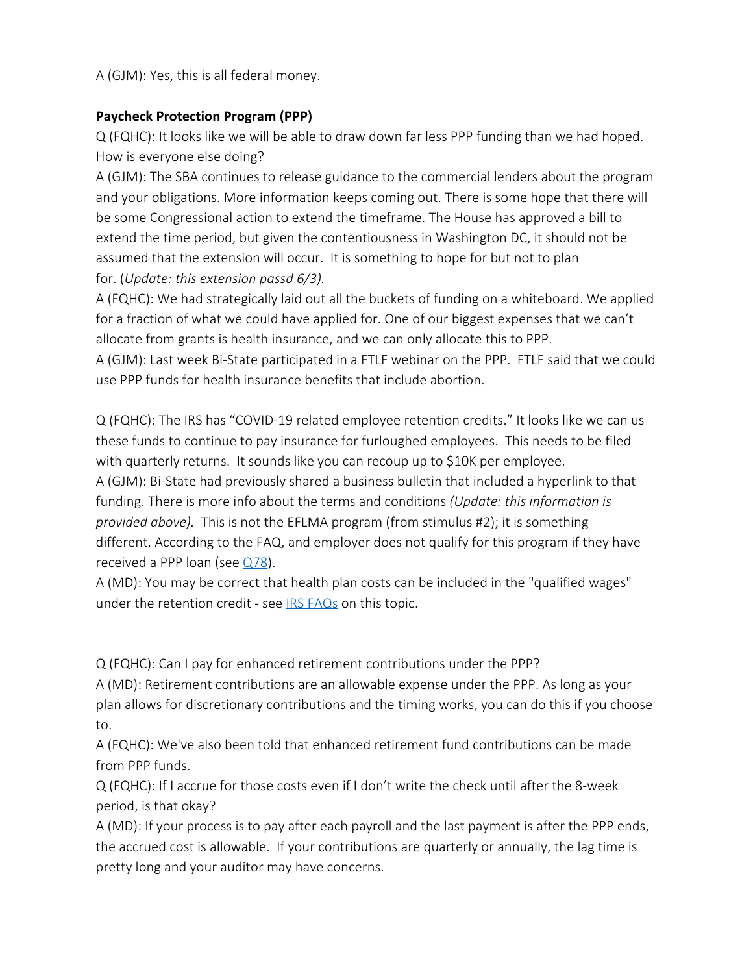A (GJM): Yes, this is all federal money.

## **Paycheck Protection Program (PPP)**

Q (FQHC): It looks like we will be able to draw down far less PPP funding than we had hoped. How is everyone else doing?

A (GJM): The SBA continues to release guidance to the commercial lenders about the program and your obligations. More information keeps coming out. There is some hope that there will be some Congressional action to extend the timeframe. The House has approved a bill to extend the time period, but given the contentiousness in Washington DC, it should not be assumed that the extension will occur. It is something to hope for but not to plan for. (*Update: this extension passd 6/3).* 

A (FQHC): We had strategically laid out all the buckets of funding on a whiteboard. We applied for a fraction of what we could have applied for. One of our biggest expenses that we can't allocate from grants is health insurance, and we can only allocate this to PPP.

A (GJM): Last week Bi-State participated in a FTLF webinar on the PPP. FTLF said that we could use PPP funds for health insurance benefits that include abortion.

Q (FQHC): The IRS has "COVID-19 related employee retention credits." It looks like we can us these funds to continue to pay insurance for furloughed employees. This needs to be filed with quarterly returns. It sounds like you can recoup up to \$10K per employee. A (GJM): Bi-State had previously shared a business bulletin that included a hyperlink to that funding. There is more info about the terms and conditions *(Update: this information is provided above).* This is not the EFLMA program (from stimulus #2); it is something different. According to the FAQ, and employer does not qualify for this program if they have received a PPP loan (see  $Q78$ ).

A (MD): You may be correct that health plan costs can be included in the "qualified wages" under the retention credit - see **[IRS FAQs](https://www.irs.gov/newsroom/covid-19-related-employee-retention-credits-amount-of-allocable-qualified-health-plan-expenses-faqs)** on this topic.

Q (FQHC): Can I pay for enhanced retirement contributions under the PPP?

A (MD): Retirement contributions are an allowable expense under the PPP. As long as your plan allows for discretionary contributions and the timing works, you can do this if you choose to.

A (FQHC): We've also been told that enhanced retirement fund contributions can be made from PPP funds.

Q (FQHC): If I accrue for those costs even if I don't write the check until after the 8-week period, is that okay?

A (MD): If your process is to pay after each payroll and the last payment is after the PPP ends, the accrued cost is allowable. If your contributions are quarterly or annually, the lag time is pretty long and your auditor may have concerns.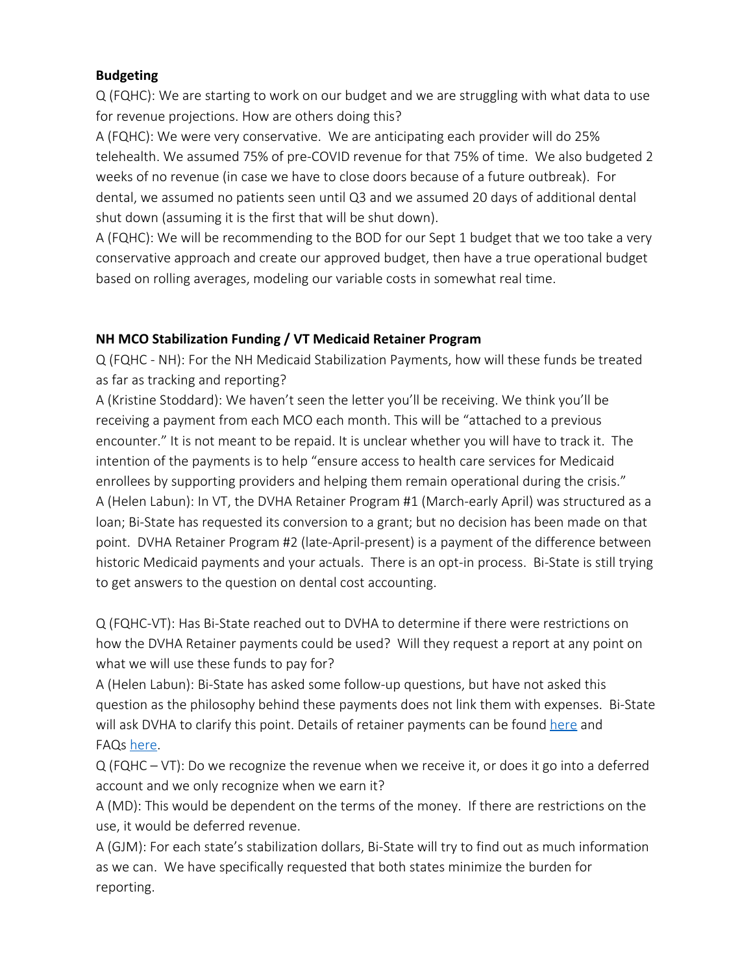### **Budgeting**

Q (FQHC): We are starting to work on our budget and we are struggling with what data to use for revenue projections. How are others doing this?

A (FQHC): We were very conservative. We are anticipating each provider will do 25% telehealth. We assumed 75% of pre-COVID revenue for that 75% of time. We also budgeted 2 weeks of no revenue (in case we have to close doors because of a future outbreak). For dental, we assumed no patients seen until Q3 and we assumed 20 days of additional dental shut down (assuming it is the first that will be shut down).

A (FQHC): We will be recommending to the BOD for our Sept 1 budget that we too take a very conservative approach and create our approved budget, then have a true operational budget based on rolling averages, modeling our variable costs in somewhat real time.

## **NH MCO Stabilization Funding / VT Medicaid Retainer Program**

Q (FQHC - NH): For the NH Medicaid Stabilization Payments, how will these funds be treated as far as tracking and reporting?

A (Kristine Stoddard): We haven't seen the letter you'll be receiving. We think you'll be receiving a payment from each MCO each month. This will be "attached to a previous encounter." It is not meant to be repaid. It is unclear whether you will have to track it. The intention of the payments is to help "ensure access to health care services for Medicaid enrollees by supporting providers and helping them remain operational during the crisis." A (Helen Labun): In VT, the DVHA Retainer Program #1 (March-early April) was structured as a loan; Bi-State has requested its conversion to a grant; but no decision has been made on that point. DVHA Retainer Program #2 (late-April-present) is a payment of the difference between historic Medicaid payments and your actuals. There is an opt-in process. Bi-State is still trying to get answers to the question on dental cost accounting.

Q (FQHC-VT): Has Bi-State reached out to DVHA to determine if there were restrictions on how the DVHA Retainer payments could be used? Will they request a report at any point on what we will use these funds to pay for?

A (Helen Labun): Bi-State has asked some follow-up questions, but have not asked this question as the philosophy behind these payments does not link them with expenses. Bi-State will ask DVHA to clarify this point. Details of retainer payments can be found [here](https://dvha.vermont.gov/sites/dvha/files/documents/News/COVID-19%20Sustained%20Monthly%20Retainer%20Payments%20Cover%20Letter%20and%20Process%20DVHA%20FINAL.pdf) and FAQs [here](https://dvha.vermont.gov/sites/dvha/files/documents/News/COVID-19%20Sustained%20Monthly%20Retainer%20Payments%20FAQ%20DVHA%20FINAL.pdf).

Q (FQHC – VT): Do we recognize the revenue when we receive it, or does it go into a deferred account and we only recognize when we earn it?

A (MD): This would be dependent on the terms of the money. If there are restrictions on the use, it would be deferred revenue.

A (GJM): For each state's stabilization dollars, Bi-State will try to find out as much information as we can. We have specifically requested that both states minimize the burden for reporting.